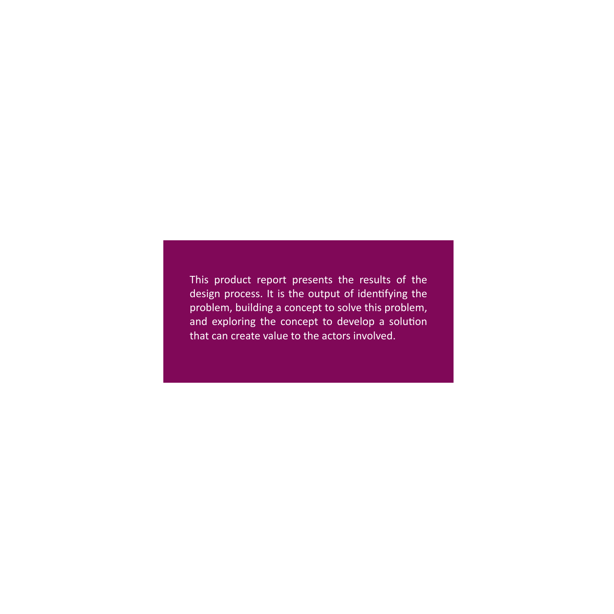This product report presents the results of the design process. It is the output of identifying the problem, building a concept to solve this problem, and exploring the concept to develop a solution that can create value to the actors involved.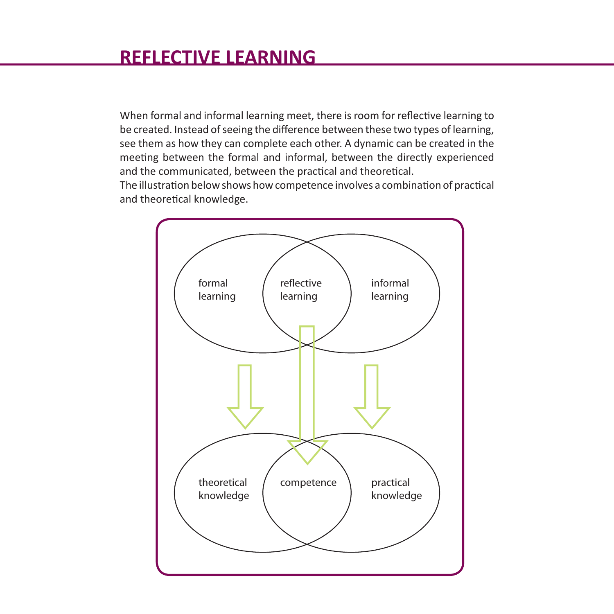### **REFLECTIVE LEARNING**

When formal and informal learning meet, there is room for reflective learning to be created. Instead of seeing the difference between these two types of learning, see them as how they can complete each other. A dynamic can be created in the meeting between the formal and informal, between the directly experienced and the communicated, between the practical and theoretical.

The illustration below shows how competence involves a combination of practical and theoretical knowledge.

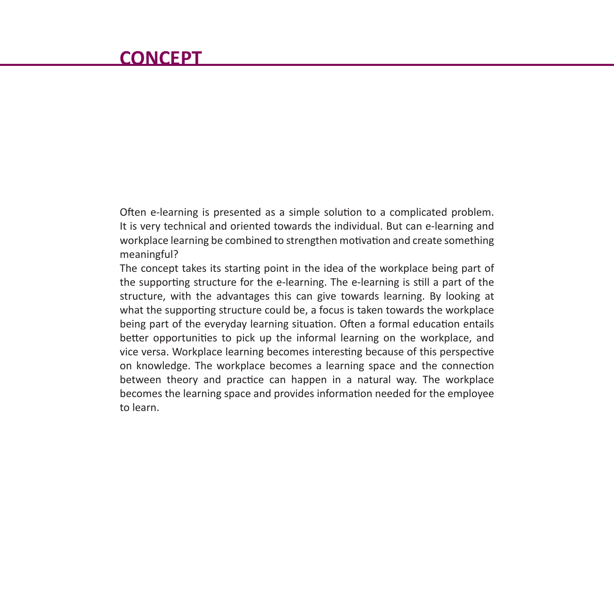#### **CONCEPT**

Often e-learning is presented as a simple solution to a complicated problem. It is very technical and oriented towards the individual. But can e-learning and workplace learning be combined to strengthen motivation and create something meaningful?

The concept takes its starting point in the idea of the workplace being part of the supporting structure for the e-learning. The e-learning is still a part of the structure, with the advantages this can give towards learning. By looking at what the supporting structure could be, a focus is taken towards the workplace being part of the everyday learning situation. Often a formal education entails better opportunities to pick up the informal learning on the workplace, and vice versa. Workplace learning becomes interesting because of this perspective on knowledge. The workplace becomes a learning space and the connection between theory and practice can happen in a natural way. The workplace becomes the learning space and provides information needed for the employee to learn.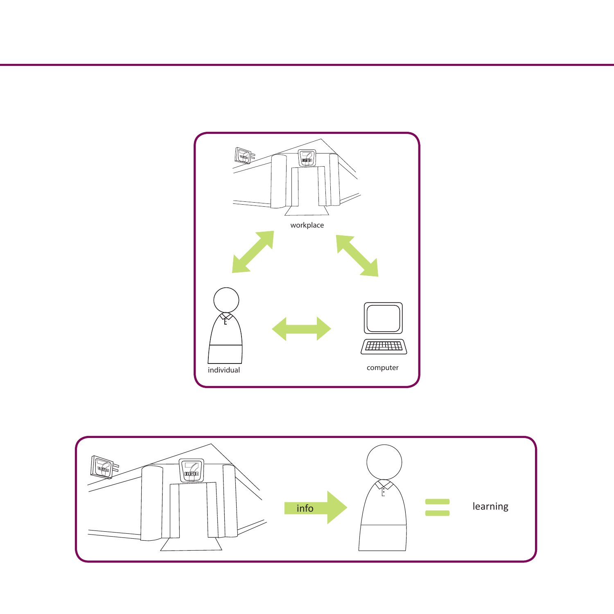

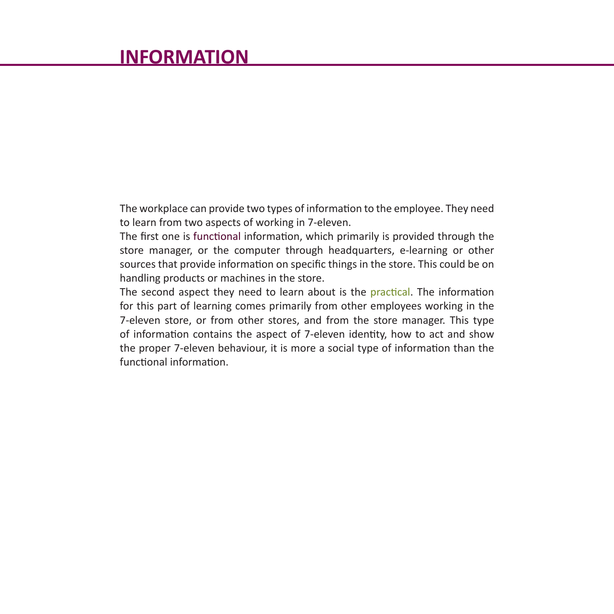The workplace can provide two types of information to the employee. They need to learn from two aspects of working in 7-eleven.

The first one is functional information, which primarily is provided through the store manager, or the computer through headquarters, e-learning or other sources that provide information on specific things in the store. This could be on handling products or machines in the store.

The second aspect they need to learn about is the practical. The information for this part of learning comes primarily from other employees working in the 7-eleven store, or from other stores, and from the store manager. This type of information contains the aspect of 7-eleven identity, how to act and show the proper 7-eleven behaviour, it is more a social type of information than the functional information.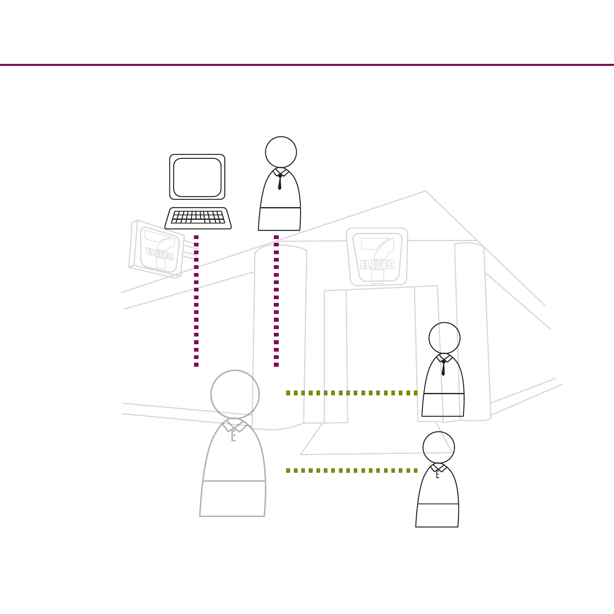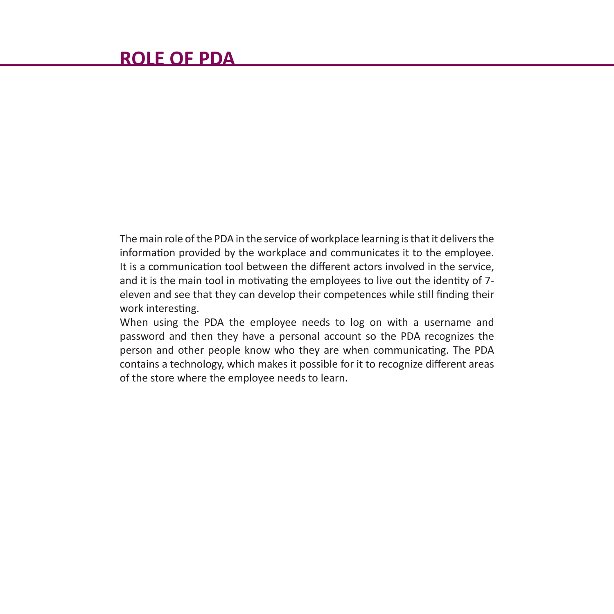#### **ROLE OF PDA**

The main role of the PDA in the service of workplace learning is that it delivers the information provided by the workplace and communicates it to the employee. It is a communication tool between the different actors involved in the service, and it is the main tool in motivating the employees to live out the identity of 7 eleven and see that they can develop their competences while still finding their work interesting.

When using the PDA the employee needs to log on with a username and password and then they have a personal account so the PDA recognizes the person and other people know who they are when communicating. The PDA contains a technology, which makes it possible for it to recognize different areas of the store where the employee needs to learn.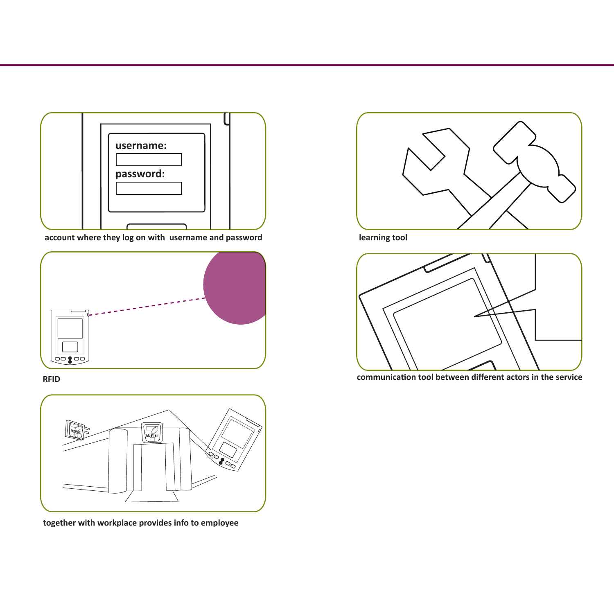

**account where they log on with username and password**



**RFID**



**together with workplace provides info to employee**



**learning tool**



**communication tool between different actors in the service**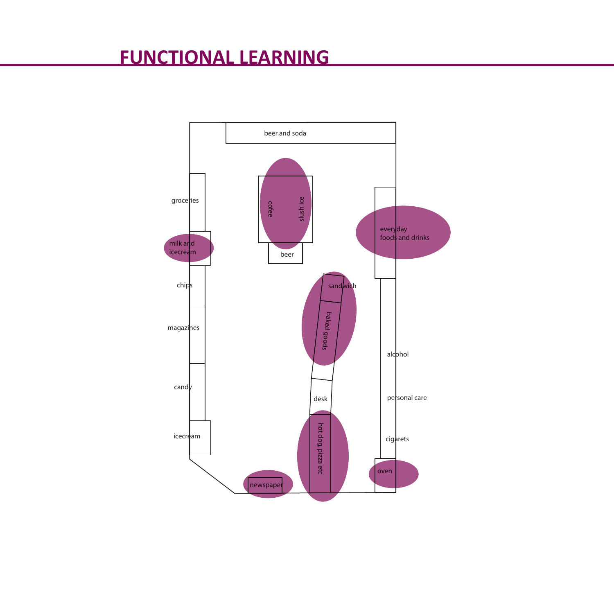# **FUNCTIONAL LEARNING**

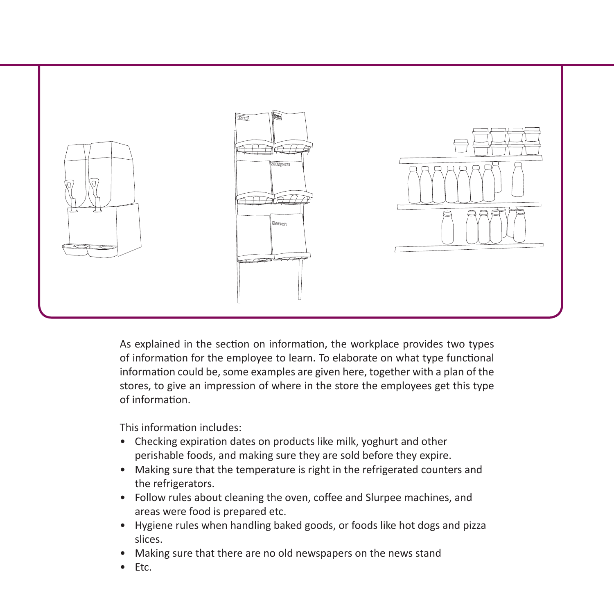

As explained in the section on information, the workplace provides two types of information for the employee to learn. To elaborate on what type functional information could be, some examples are given here, together with a plan of the stores, to give an impression of where in the store the employees get this type of information.

This information includes:

- Checking expiration dates on products like milk, yoghurt and other perishable foods, and making sure they are sold before they expire.
- Making sure that the temperature is right in the refrigerated counters and the refrigerators.
- Follow rules about cleaning the oven, coffee and Slurpee machines, and areas were food is prepared etc.
- Hygiene rules when handling baked goods, or foods like hot dogs and pizza slices.
- Making sure that there are no old newspapers on the news stand •
- Etc. •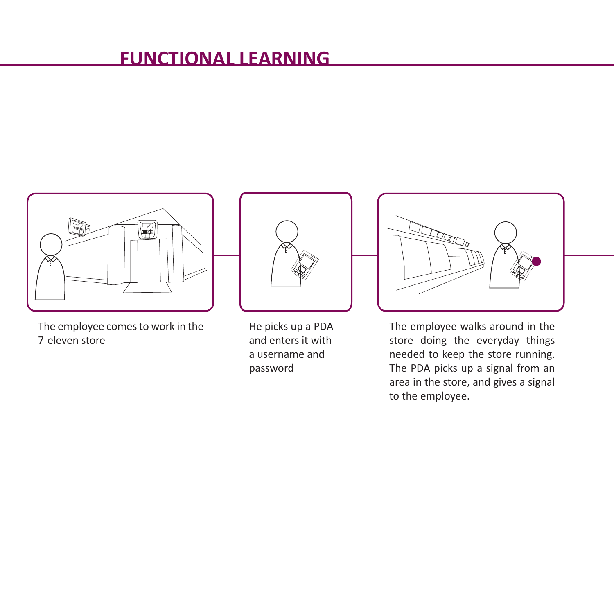#### **FUNCTIONAL LEARNING**



The employee comes to work in the 7-eleven store



He picks up a PDA and enters it with a username and password



The employee walks around in the store doing the everyday things needed to keep the store running. The PDA picks up a signal from an area in the store, and gives a signal to the employee.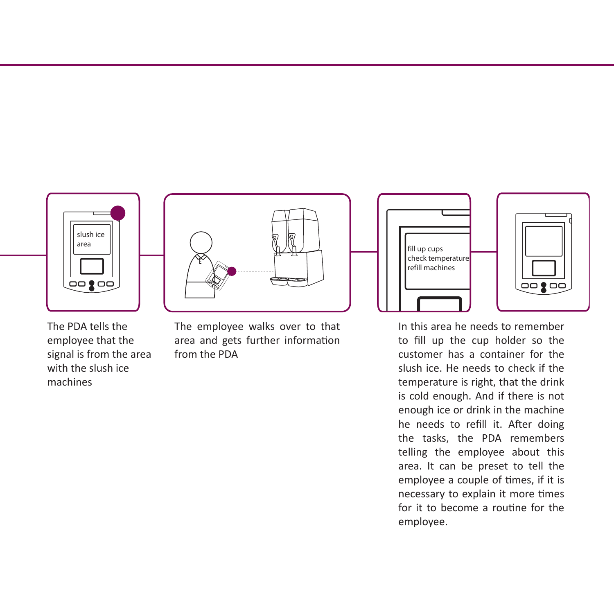



The PDA tells the employee that the signal is from the area with the slush ice machines

The employee walks over to that area and gets further information from the PDA





In this area he needs to remember to fill up the cup holder so the customer has a container for the slush ice. He needs to check if the temperature is right, that the drink is cold enough. And if there is not enough ice or drink in the machine he needs to refill it. After doing the tasks, the PDA remembers telling the employee about this area. It can be preset to tell the employee a couple of times, if it is necessary to explain it more times for it to become a routine for the employee.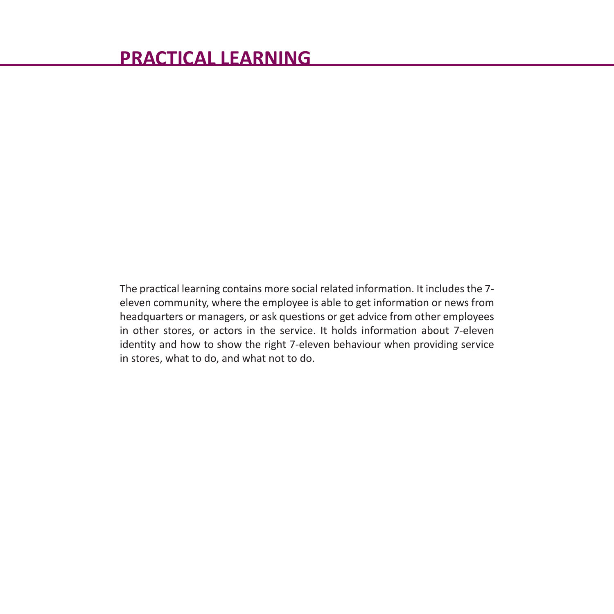The practical learning contains more social related information. It includes the 7 eleven community, where the employee is able to get information or news from headquarters or managers, or ask questions or get advice from other employees in other stores, or actors in the service. It holds information about 7-eleven identity and how to show the right 7-eleven behaviour when providing service in stores, what to do, and what not to do.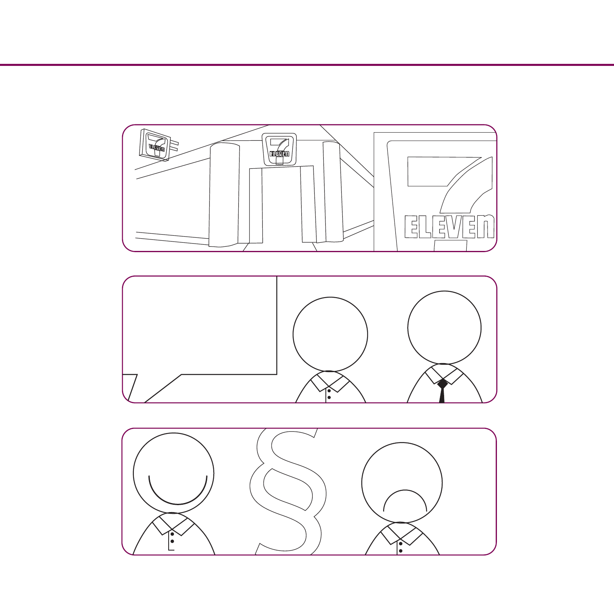

ė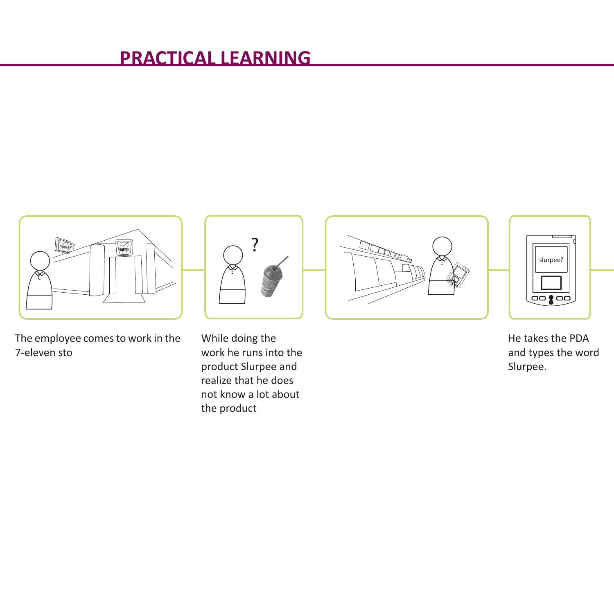# **PRACTICAL LEARNING**



?





He takes the PDA and types the word Slurpee.

The employee comes to work in the 7-eleven sto

While doing the work he runs into the product Slurpee and realize that he does not know a lot about the product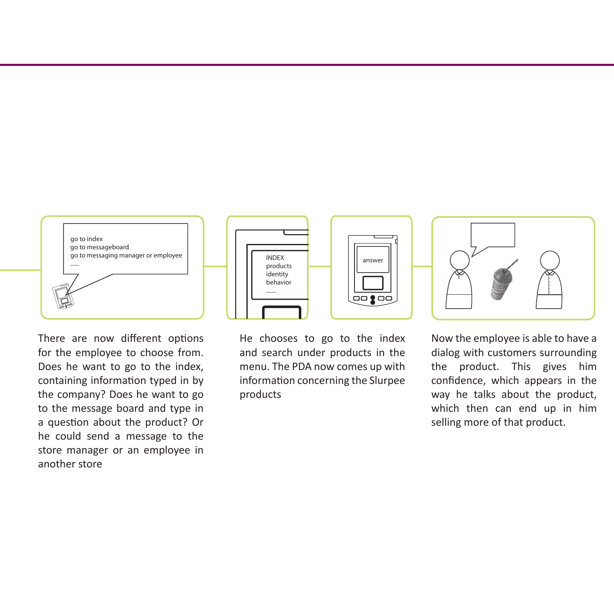

There are now different options for the employee to choose from. Does he want to go to the index, containing information typed in by the company? Does he want to go to the message board and type in a question about the product? Or he could send a message to the store manager or an employee in another store



He chooses to go to the index and search under products in the menu. The PDA now comes up with information concerning the Slurpee products

Now the employee is able to have a dialog with customers surrounding the product. This gives him confidence, which appears in the way he talks about the product, which then can end up in him selling more of that product.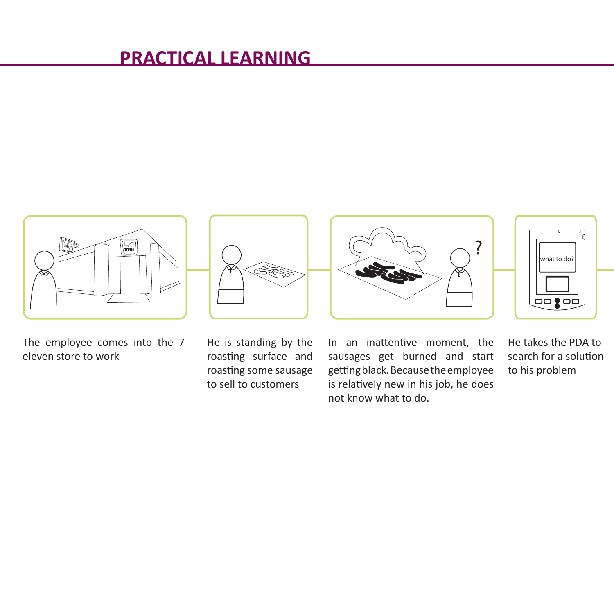#### **PRACTICAL LEARNING**







The employee comes into the 7 eleven store to work

He is standing by the roasting surface and roasting some sausage to sell to customers

In an inattentive moment, the sausages get burned and start getting black. Because the employee is relatively new in his job, he does not know what to do.

He takes the PDA to search for a solution to his problem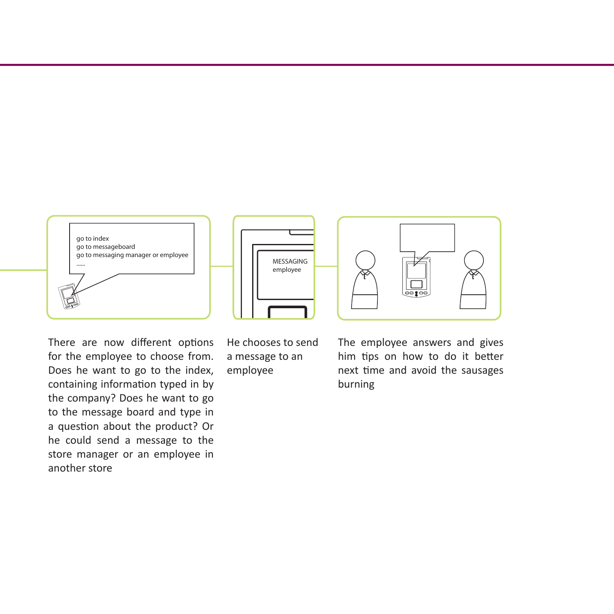





There are now different options for the employee to choose from. Does he want to go to the index, containing information typed in by the company? Does he want to go to the message board and type in a question about the product? Or he could send a message to the store manager or an employee in another store

He chooses to send a message to an employee

The employee answers and gives him tips on how to do it better next time and avoid the sausages burning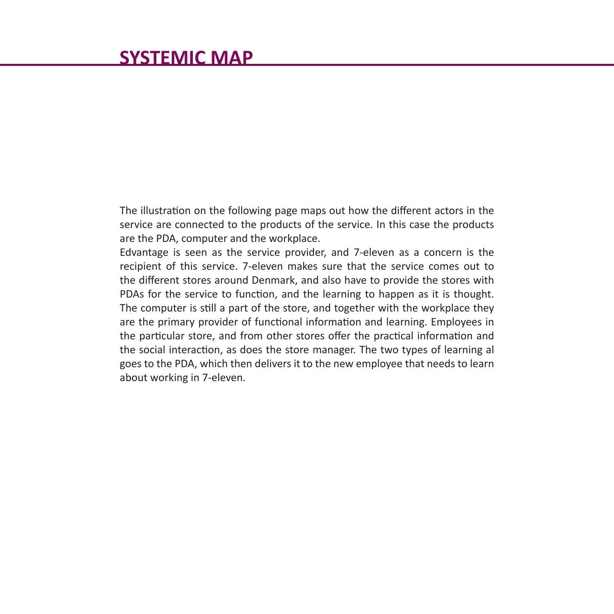### **SYSTEMIC MAP**

The illustration on the following page maps out how the different actors in the service are connected to the products of the service. In this case the products are the PDA, computer and the workplace.

Edvantage is seen as the service provider, and 7-eleven as a concern is the recipient of this service. 7-eleven makes sure that the service comes out to the different stores around Denmark, and also have to provide the stores with PDAs for the service to function, and the learning to happen as it is thought. The computer is still a part of the store, and together with the workplace they are the primary provider of functional information and learning. Employees in the particular store, and from other stores offer the practical information and the social interaction, as does the store manager. The two types of learning al goes to the PDA, which then delivers it to the new employee that needs to learn about working in 7-eleven.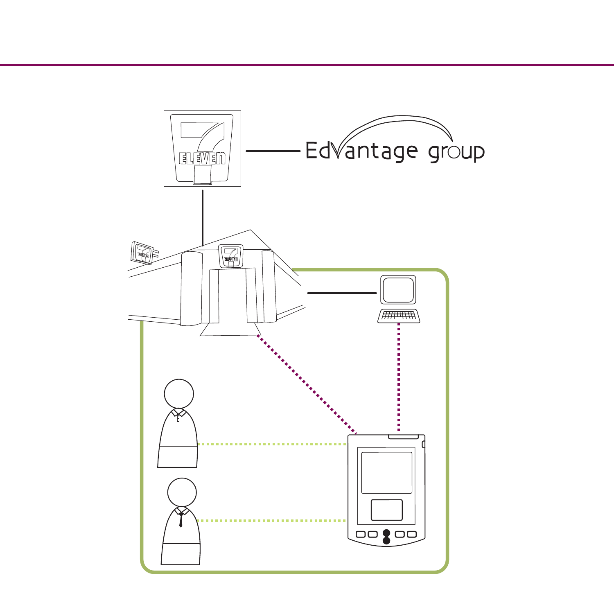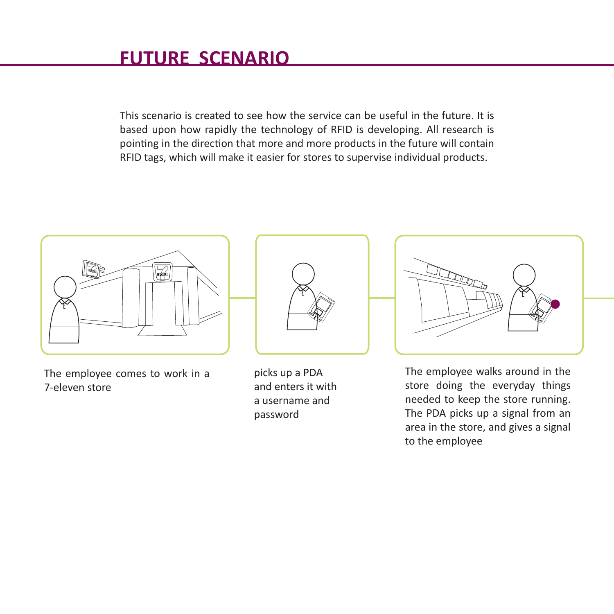# **FUTURE SCENARIO**

This scenario is created to see how the service can be useful in the future. It is based upon how rapidly the technology of RFID is developing. All research is pointing in the direction that more and more products in the future will contain RFID tags, which will make it easier for stores to supervise individual products.



The employee comes to work in a 7-eleven store

picks up a PDA and enters it with a username and password



The employee walks around in the store doing the everyday things needed to keep the store running. The PDA picks up a signal from an area in the store, and gives a signal to the employee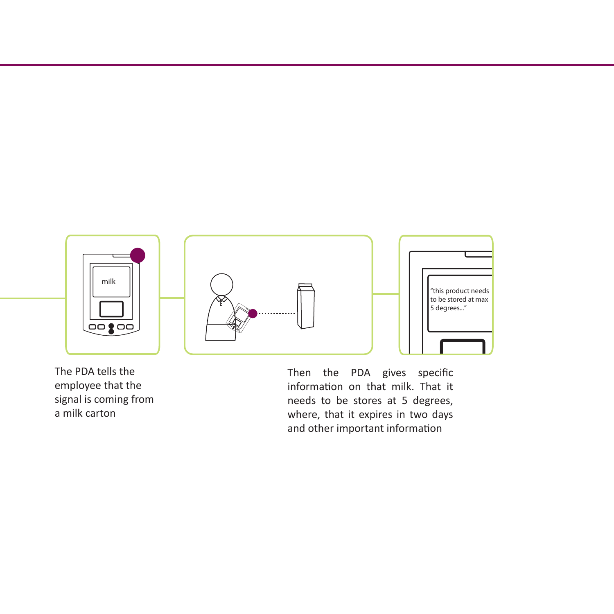

The PDA tells the employee that the signal is coming from a milk carton

Then the PDA gives specific information on that milk. That it needs to be stores at 5 degrees, where, that it expires in two days and other important information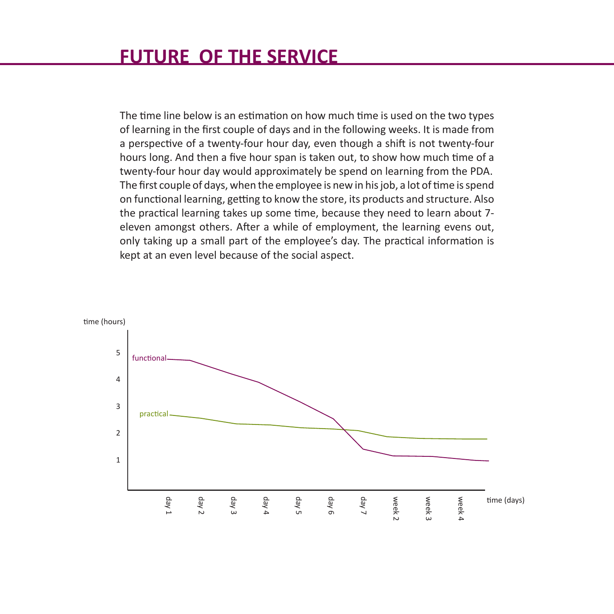The time line below is an estimation on how much time is used on the two types of learning in the first couple of days and in the following weeks. It is made from a perspective of a twenty-four hour day, even though a shift is not twenty-four hours long. And then a five hour span is taken out, to show how much time of a twenty-four hour day would approximately be spend on learning from the PDA. The first couple of days, when the employee is new in his job, a lot of time is spend on functional learning, getting to know the store, its products and structure. Also the practical learning takes up some time, because they need to learn about 7 eleven amongst others. After a while of employment, the learning evens out, only taking up a small part of the employee's day. The practical information is kept at an even level because of the social aspect.